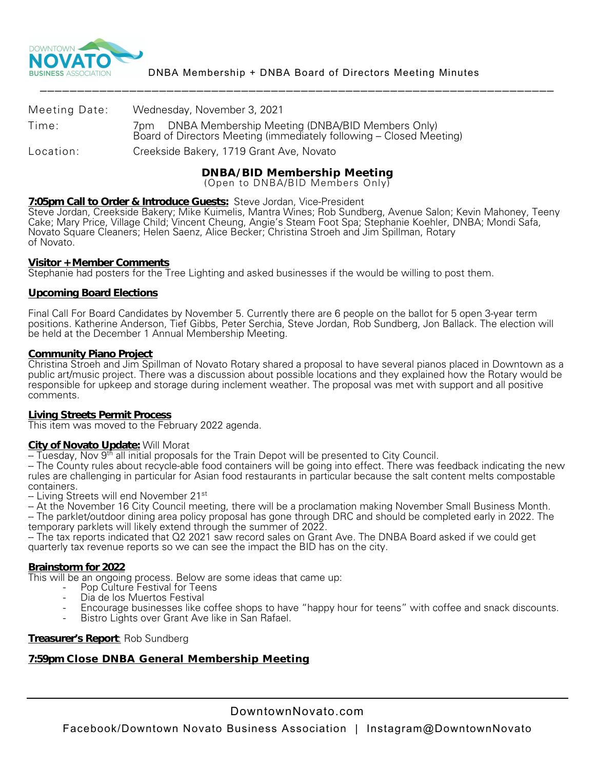

| Meeting Date: | Wednesday, November 3, 2021                                                                                                   |
|---------------|-------------------------------------------------------------------------------------------------------------------------------|
| Time:         | DNBA Membership Meeting (DNBA/BID Members Only)<br>7pm<br>Board of Directors Meeting (immediately following - Closed Meeting) |
| Location:     | Creekside Bakery, 1719 Grant Ave, Novato                                                                                      |
|               |                                                                                                                               |

**DNBA/BID Membership Meeting** (Open to DNBA/BID Members Only)

### **7:05pm Call to Order & Introduce Guests:** Steve Jordan, Vice-President

Steve Jordan, Creekside Bakery; Mike Kuimelis, Mantra Wines; Rob Sundberg, Avenue Salon; Kevin Mahoney, Teeny Cake; Mary Price, Village Child; Vincent Cheung, Angie's Steam Foot Spa; Stephanie Koehler, DNBA; Mondi Safa, Novato Square Cleaners; Helen Saenz, Alice Becker; Christina Stroeh and Jim Spillman, Rotary of Novato.

### **Visitor + Member Comments**

Stephanie had posters for the Tree Lighting and asked businesses if the would be willing to post them.

# **Upcoming Board Elections**

Final Call For Board Candidates by November 5. Currently there are 6 people on the ballot for 5 open 3-year term positions. Katherine Anderson, Tief Gibbs, Peter Serchia, Steve Jordan, Rob Sundberg, Jon Ballack. The election will be held at the December 1 Annual Membership Meeting.

### **Community Piano Project**

Christina Stroeh and Jim Spillman of Novato Rotary shared a proposal to have several pianos placed in Downtown as a public art/music project. There was a discussion about possible locations and they explained how the Rotary would be responsible for upkeep and storage during inclement weather. The proposal was met with support and all positive comments.

### **Living Streets Permit Process**

This item was moved to the February 2022 agenda.

# **City of Novato Update:** Will Morat

-- Tuesday, Nov 9<sup>th</sup> all initial proposals for the Train Depot will be presented to City Council.

-- The County rules about recycle-able food containers will be going into effect. There was feedback indicating the new rules are challenging in particular for Asian food restaurants in particular because the salt content melts compostable

- Living Streets will end November 21<sup>st</sup><br>- At the November 16 City Council meeting, there will be a proclamation making November Small Business Month.

- The parklet/outdoor dining area policy proposal has gone through DRC and should be completed early in 2022. The<br>temporary parklets will likely extend through the summer of 2022.

-- The tax reports indicated that Q2 2021 saw record sales on Grant Ave. The DNBA Board asked if we could get quarterly tax revenue reports so we can see the impact the BID has on the city.

# **Brainstorm for 2022**

This will be an ongoing process. Below are some ideas that came up:<br>- Pop Culture Festival for Teens<br>- Dia de los Muertos Festival

- 
- 
- Encourage businesses like coffee shops to have "happy hour for teens" with coffee and snack discounts.<br>Bistro Lights over Grant Ave like in San Rafael.
- 

# **Treasurer's Report**: Rob Sundberg

# **7:59pm Close DNBA General Membership Meeting**